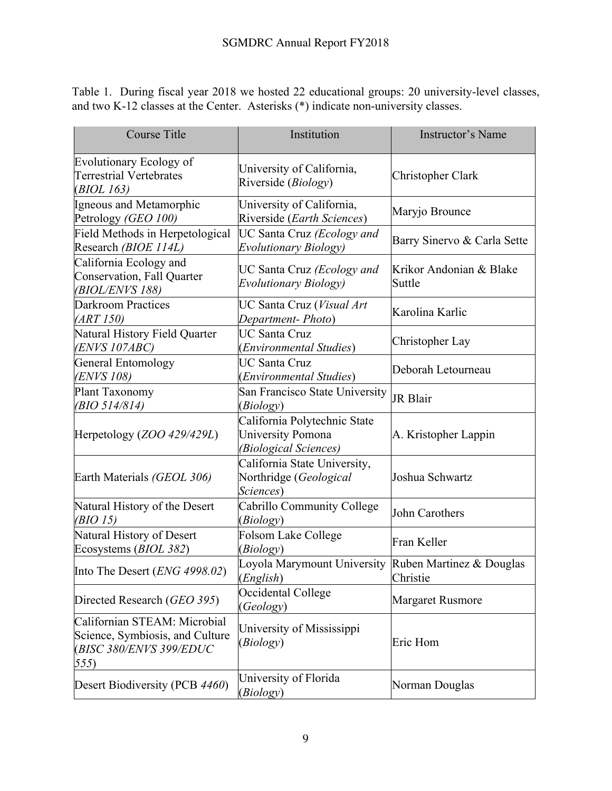Table 1.During fiscal year 2018 we hosted 22 educational groups: 20 university-level classes, and two K-12 classes at the Center. Asterisks (\*) indicate non-university classes.

| <b>Course Title</b>                                                                                | Institution                                                                       | <b>Instructor's Name</b>             |
|----------------------------------------------------------------------------------------------------|-----------------------------------------------------------------------------------|--------------------------------------|
| <b>Evolutionary Ecology of</b><br>Terrestrial Vertebrates<br>( <i>BIOL 163</i> )                   | University of California,<br>Riverside (Biology)                                  | Christopher Clark                    |
| Igneous and Metamorphic<br>Petrology (GEO 100)                                                     | University of California,<br>Riverside (Earth Sciences)                           | Maryjo Brounce                       |
| Field Methods in Herpetological<br>Research (BIOE 114L)                                            | UC Santa Cruz (Ecology and<br>Evolutionary Biology)                               | Barry Sinervo & Carla Sette          |
| California Ecology and<br>Conservation, Fall Quarter<br><i>(BIOL/ENVS 188)</i>                     | UC Santa Cruz (Ecology and<br>Evolutionary Biology)                               | Krikor Andonian & Blake<br>Suttle    |
| <b>Darkroom Practices</b><br>(ART 150)                                                             | UC Santa Cruz (Visual Art<br>Department-Photo)                                    | Karolina Karlic                      |
| Natural History Field Quarter<br>(ENVS 107ABC)                                                     | <b>UC Santa Cruz</b><br>(Environmental Studies)                                   | Christopher Lay                      |
| <b>General Entomology</b><br><i>(ENVS 108)</i>                                                     | <b>UC Santa Cruz</b><br>(Environmental Studies)                                   | Deborah Letourneau                   |
| Plant Taxonomy<br>(BIO 514/814)                                                                    | San Francisco State University<br>(Biology)                                       | JR Blair                             |
| Herpetology (ZOO 429/429L)                                                                         | California Polytechnic State<br><b>University Pomona</b><br>(Biological Sciences) | A. Kristopher Lappin                 |
| Earth Materials (GEOL 306)                                                                         | California State University,<br>Northridge (Geological<br>Sciences)               | Joshua Schwartz                      |
| Natural History of the Desert<br>(BIO 15)                                                          | Cabrillo Community College<br>(Biology)                                           | John Carothers                       |
| Natural History of Desert<br>Ecosystems (BIOL 382)                                                 | Folsom Lake College<br>(Biology)                                                  | Fran Keller                          |
| Into The Desert (ENG 4998.02)                                                                      | Loyola Marymount University<br>(English)                                          | Ruben Martinez & Douglas<br>Christie |
| Directed Research (GEO 395)                                                                        | Occidental College<br>(Geology)                                                   | <b>Margaret Rusmore</b>              |
| Californian STEAM: Microbial<br>Science, Symbiosis, and Culture<br>(BISC 380/ENVS 399/EDUC<br>555) | University of Mississippi<br>(Biology)                                            | Eric Hom                             |
| Desert Biodiversity (PCB 4460)                                                                     | University of Florida<br>(Biology)                                                | Norman Douglas                       |